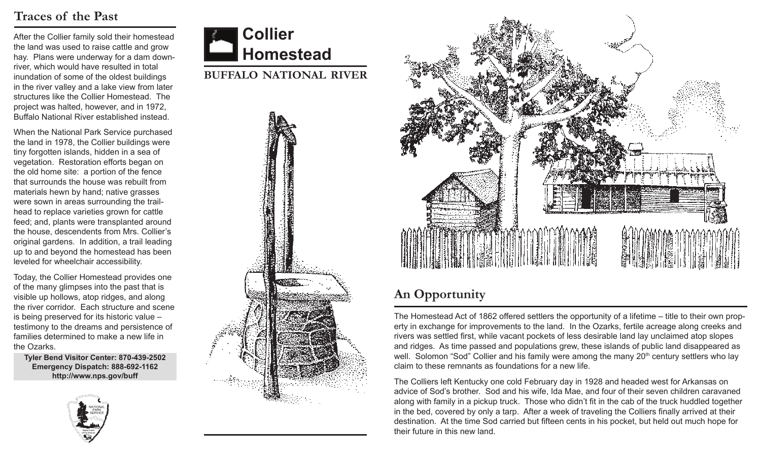## **Traces of the Past**

After the Collier family sold their homestead the land was used to raise cattle and grow hay. Plans were underway for a dam downriver, which would have resulted in total inundation of some of the oldest buildings in the river valley and a lake view from later structures like the Collier Homestead. The project was halted, however, and in 1972, Buffalo National River established instead.

When the National Park Service purchased the land in 1978, the Collier buildings were tiny forgotten islands, hidden in a sea of vegetation. Restoration efforts began on the old home site: a portion of the fence that surrounds the house was rebuilt from materials hewn by hand; native grasses were sown in areas surrounding the trailhead to replace varieties grown for cattle feed; and, plants were transplanted around the house, descendents from Mrs. Collier's original gardens. In addition, a trail leading up to and beyond the homestead has been leveled for wheelchair accessibility.

Today, the Collier Homestead provides one of the many glimpses into the past that is visible up hollows, atop ridges, and along the river corridor. Each structure and scene is being preserved for its historic value – testimony to the dreams and persistence of families determined to make a new life in the Ozarks.

**Tyler Bend Visitor Center: 870-439-2502 Emergency Dispatch: 888-692-1162 http://www.nps.gov/buff**





**buffalo national river**





# **An Opportunity**

The Homestead Act of 1862 offered settlers the opportunity of a lifetime – title to their own property in exchange for improvements to the land. In the Ozarks, fertile acreage along creeks and rivers was settled first, while vacant pockets of less desirable land lay unclaimed atop slopes and ridges. As time passed and populations grew, these islands of public land disappeared as well. Solomon "Sod" Collier and his family were among the many 20<sup>th</sup> century settlers who lay claim to these remnants as foundations for a new life.

The Colliers left Kentucky one cold February day in 1928 and headed west for Arkansas on advice of Sod's brother. Sod and his wife, Ida Mae, and four of their seven children caravaned along with family in a pickup truck. Those who didn't fit in the cab of the truck huddled together in the bed, covered by only a tarp. After a week of traveling the Colliers finally arrived at their destination. At the time Sod carried but fifteen cents in his pocket, but held out much hope for their future in this new land.